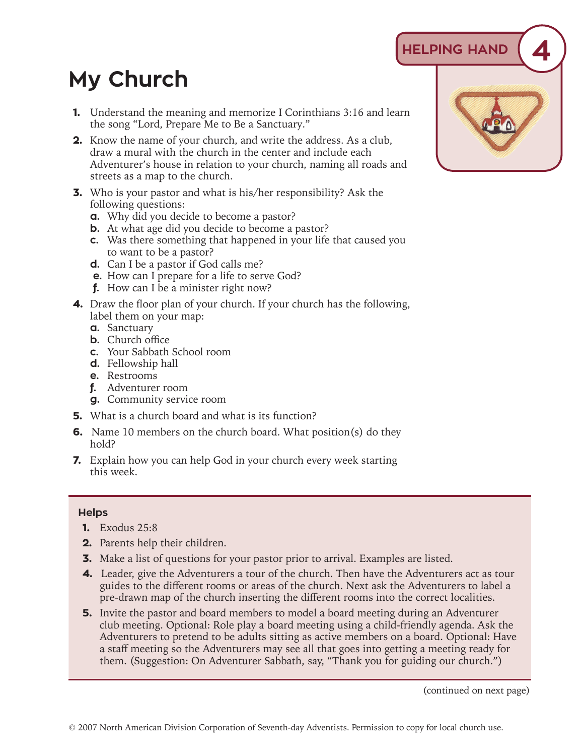## **HELPING HAND 4**

## **My Church**

- **1.** Understand the meaning and memorize I Corinthians 3:16 and learn the song "Lord, Prepare Me to Be a Sanctuary."
- **2.** Know the name of your church, and write the address. As a club, draw a mural with the church in the center and include each Adventurer's house in relation to your church, naming all roads and streets as a map to the church.
- **3.** Who is your pastor and what is his/her responsibility? Ask the following questions:
	- **a.** Why did you decide to become a pastor?
	- **b.** At what age did you decide to become a pastor?
	- **c.** Was there something that happened in your life that caused you to want to be a pastor?
	- **d.** Can I be a pastor if God calls me?
	- **e.** How can I prepare for a life to serve God?
	- **f.** How can I be a minister right now?
- **4.** Draw the floor plan of your church. If your church has the following, label them on your map:
	- **a.** Sanctuary
	- **b.** Church office
	- **c.** Your Sabbath School room
	- **d.** Fellowship hall
	- **e.** Restrooms
	- **f.** Adventurer room
	- **g.** Community service room
- **5.** What is a church board and what is its function?
- **6.** Name 10 members on the church board. What position(s) do they hold?
- **7.** Explain how you can help God in your church every week starting this week.

## **Helps**

- **1.** Exodus 25:8
- **2.** Parents help their children.
- **3.** Make a list of questions for your pastor prior to arrival. Examples are listed.
- **4.** Leader, give the Adventurers a tour of the church. Then have the Adventurers act as tour guides to the different rooms or areas of the church. Next ask the Adventurers to label a pre-drawn map of the church inserting the different rooms into the correct localities.
- **5.** Invite the pastor and board members to model a board meeting during an Adventurer club meeting. Optional: Role play a board meeting using a child-friendly agenda. Ask the Adventurers to pretend to be adults sitting as active members on a board. Optional: Have a staff meeting so the Adventurers may see all that goes into getting a meeting ready for them. (Suggestion: On Adventurer Sabbath, say, "Thank you for guiding our church.")



(continued on next page)